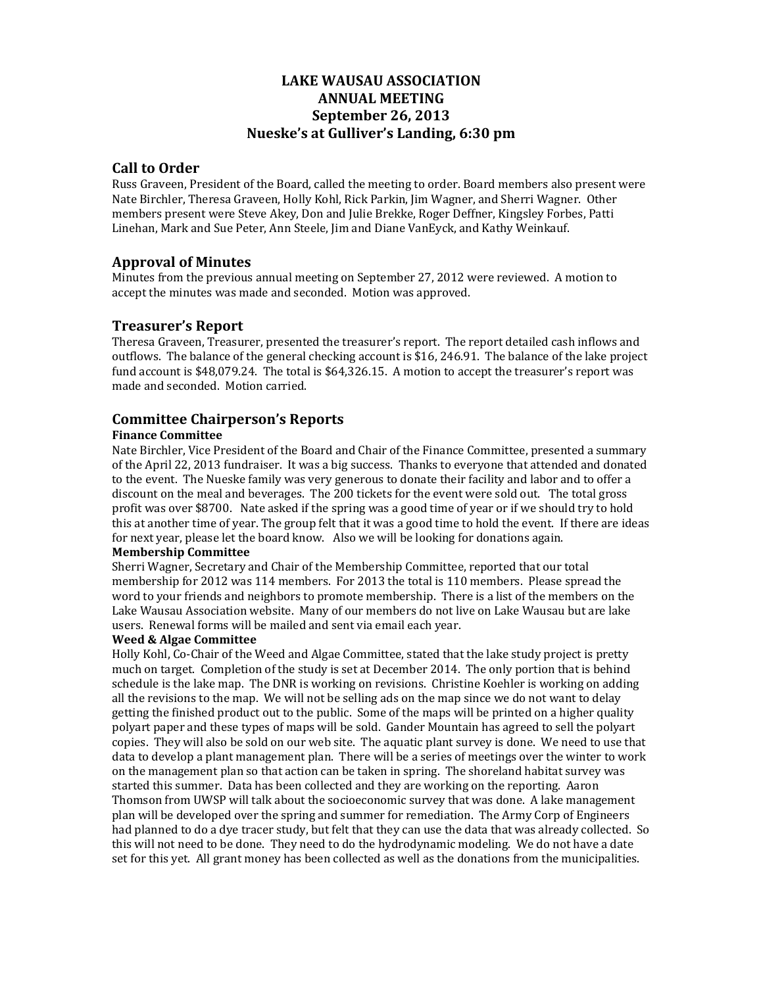# **LAKE WAUSAU ASSOCIATION ANNUAL MEETING September 26, 2013 Nueske's at Gulliver's Landing, 6:30 pm**

## **Call to Order**

Russ Graveen, President of the Board, called the meeting to order. Board members also present were Nate Birchler, Theresa Graveen, Holly Kohl, Rick Parkin, Jim Wagner, and Sherri Wagner. Other members present were Steve Akey, Don and Julie Brekke, Roger Deffner, Kingsley Forbes, Patti Linehan, Mark and Sue Peter, Ann Steele, Jim and Diane VanEyck, and Kathy Weinkauf.

# **Approval of Minutes**

Minutes from the previous annual meeting on September 27, 2012 were reviewed. A motion to accept the minutes was made and seconded. Motion was approved.

# **Treasurer's Report**

Theresa Graveen, Treasurer, presented the treasurer's report. The report detailed cash inflows and outflows. The balance of the general checking account is \$16, 246.91. The balance of the lake project fund account is  $$48,079.24$ . The total is  $$64,326.15$ . A motion to accept the treasurer's report was made and seconded. Motion carried.

# **Committee Chairperson's Reports**

### **Finance Committee**

Nate Birchler, Vice President of the Board and Chair of the Finance Committee, presented a summary of the April 22, 2013 fundraiser. It was a big success. Thanks to everyone that attended and donated to the event. The Nueske family was very generous to donate their facility and labor and to offer a discount on the meal and beverages. The 200 tickets for the event were sold out. The total gross profit was over \$8700. Nate asked if the spring was a good time of year or if we should try to hold this at another time of year. The group felt that it was a good time to hold the event. If there are ideas for next year, please let the board know. Also we will be looking for donations again.

#### **Membership Committee**

Sherri Wagner, Secretary and Chair of the Membership Committee, reported that our total membership for 2012 was 114 members. For 2013 the total is 110 members. Please spread the word to your friends and neighbors to promote membership. There is a list of the members on the Lake Wausau Association website. Many of our members do not live on Lake Wausau but are lake users. Renewal forms will be mailed and sent via email each vear.

#### **Weed & Algae Committee**

Holly Kohl, Co-Chair of the Weed and Algae Committee, stated that the lake study project is pretty much on target. Completion of the study is set at December 2014. The only portion that is behind schedule is the lake map. The DNR is working on revisions. Christine Koehler is working on adding all the revisions to the map. We will not be selling ads on the map since we do not want to delay getting the finished product out to the public. Some of the maps will be printed on a higher quality polyart paper and these types of maps will be sold. Gander Mountain has agreed to sell the polyart copies. They will also be sold on our web site. The aquatic plant survey is done. We need to use that data to develop a plant management plan. There will be a series of meetings over the winter to work on the management plan so that action can be taken in spring. The shoreland habitat survey was started this summer. Data has been collected and they are working on the reporting. Aaron Thomson from UWSP will talk about the socioeconomic survey that was done. A lake management plan will be developed over the spring and summer for remediation. The Army Corp of Engineers had planned to do a dye tracer study, but felt that they can use the data that was already collected. So this will not need to be done. They need to do the hydrodynamic modeling. We do not have a date set for this yet. All grant money has been collected as well as the donations from the municipalities.